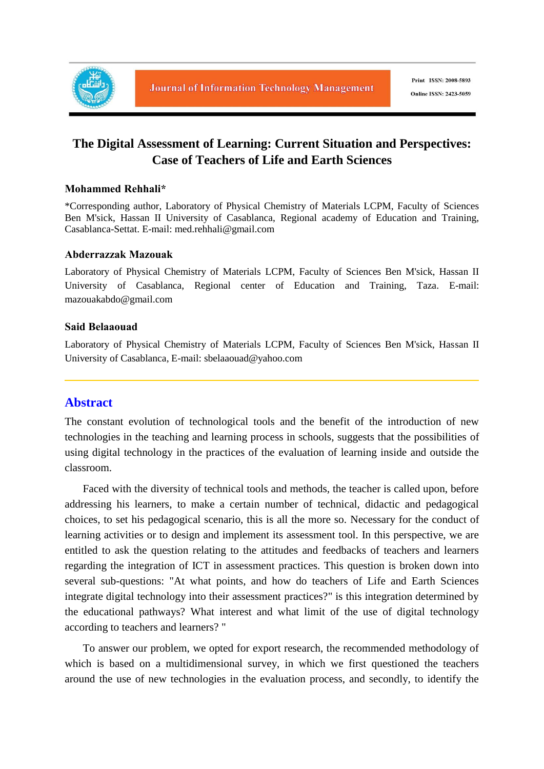

# **The Digital Assessment of Learning: Current Situation and Perspectives: Case of Teachers of Life and Earth Sciences**

#### **Mohammed Rehhali\***

\*Corresponding author, Laboratory of Physical Chemistry of Materials LCPM, Faculty of Sciences Ben M'sick, Hassan II University of Casablanca, Regional academy of Education and Training, Casablanca-Settat. E-mail: med.rehhali@gmail.com

### **Abderrazzak Mazouak**

Laboratory of Physical Chemistry of Materials LCPM, Faculty of Sciences Ben M'sick, Hassan II University of Casablanca, Regional center of Education and Training, Taza. E-mail: mazouakabdo@gmail.com

#### **Said Belaaouad**

Laboratory of Physical Chemistry of Materials LCPM, Faculty of Sciences Ben M'sick, Hassan II University of Casablanca, E-mail: sbelaaouad@yahoo.com

# **Abstract**

The constant evolution of technological tools and the benefit of the introduction of new technologies in the teaching and learning process in schools, suggests that the possibilities of using digital technology in the practices of the evaluation of learning inside and outside the classroom.

Faced with the diversity of technical tools and methods, the teacher is called upon, before addressing his learners, to make a certain number of technical, didactic and pedagogical choices, to set his pedagogical scenario, this is all the more so. Necessary for the conduct of learning activities or to design and implement its assessment tool. In this perspective, we are entitled to ask the question relating to the attitudes and feedbacks of teachers and learners regarding the integration of ICT in assessment practices. This question is broken down into several sub-questions: "At what points, and how do teachers of Life and Earth Sciences integrate digital technology into their assessment practices?" is this integration determined by the educational pathways? What interest and what limit of the use of digital technology according to teachers and learners? "

To answer our problem, we opted for export research, the recommended methodology of which is based on a multidimensional survey, in which we first questioned the teachers around the use of new technologies in the evaluation process, and secondly, to identify the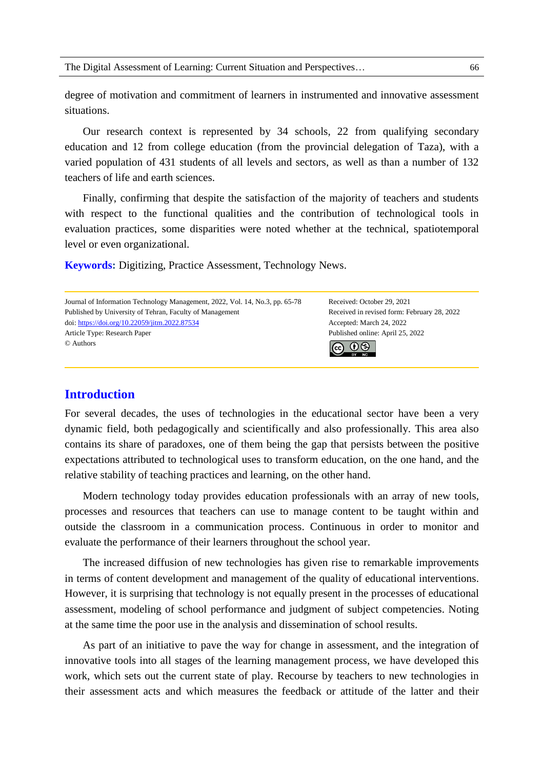degree of motivation and commitment of learners in instrumented and innovative assessment situations.

Our research context is represented by 34 schools, 22 from qualifying secondary education and 12 from college education (from the provincial delegation of Taza), with a varied population of 431 students of all levels and sectors, as well as than a number of 132 teachers of life and earth sciences.

Finally, confirming that despite the satisfaction of the majority of teachers and students with respect to the functional qualities and the contribution of technological tools in evaluation practices, some disparities were noted whether at the technical, spatiotemporal level or even organizational.

**Keywords:** Digitizing, Practice Assessment, Technology News.

Journal of Information Technology Management, 2022, Vol. 14, No.3, pp. 65-78 Received: October 29, 2021 Published by University of Tehran, Faculty of Management Received in revised form: February 28, 2022 doi: https://doi.org/10.22059/jitm.2022.87534 Accepted: March 24, 2022 Article Type: Research Paper Published online: April 25, 2022 © Authors രി  $\Theta$ 

# **Introduction**

For several decades, the uses of technologies in the educational sector have been a very dynamic field, both pedagogically and scientifically and also professionally. This area also contains its share of paradoxes, one of them being the gap that persists between the positive expectations attributed to technological uses to transform education, on the one hand, and the relative stability of teaching practices and learning, on the other hand.

Modern technology today provides education professionals with an array of new tools, processes and resources that teachers can use to manage content to be taught within and outside the classroom in a communication process. Continuous in order to monitor and evaluate the performance of their learners throughout the school year.

The increased diffusion of new technologies has given rise to remarkable improvements in terms of content development and management of the quality of educational interventions. However, it is surprising that technology is not equally present in the processes of educational assessment, modeling of school performance and judgment of subject competencies. Noting at the same time the poor use in the analysis and dissemination of school results.

As part of an initiative to pave the way for change in assessment, and the integration of innovative tools into all stages of the learning management process, we have developed this work, which sets out the current state of play. Recourse by teachers to new technologies in their assessment acts and which measures the feedback or attitude of the latter and their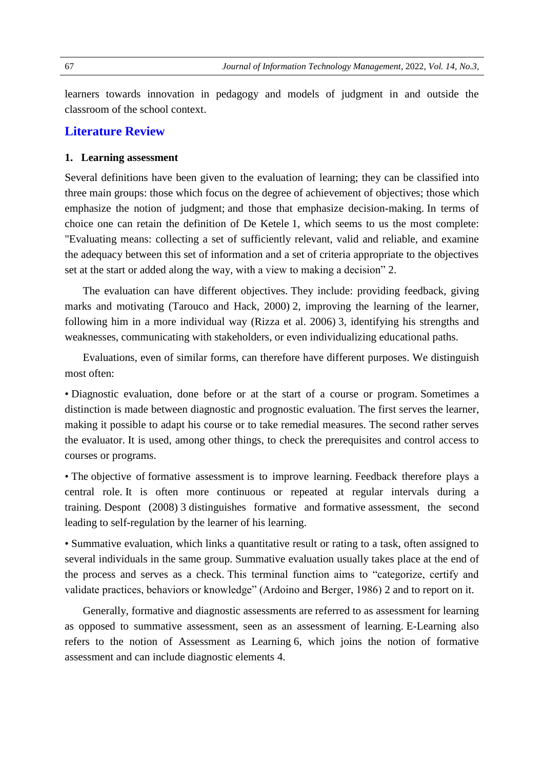learners towards innovation in pedagogy and models of judgment in and outside the classroom of the school context.

# **Literature Review**

#### **1. Learning assessment**

Several definitions have been given to the evaluation of learning; they can be classified into three main groups: those which focus on the degree of achievement of objectives; those which emphasize the notion of judgment; and those that emphasize decision-making. In terms of choice one can retain the definition of De Ketele 1, which seems to us the most complete: "Evaluating means: collecting a set of sufficiently relevant, valid and reliable, and examine the adequacy between this set of information and a set of criteria appropriate to the objectives set at the start or added along the way, with a view to making a decision" 2.

The evaluation can have different objectives. They include: providing feedback, giving marks and motivating (Tarouco and Hack, 2000) 2, improving the learning of the learner, following him in a more individual way (Rizza et al. 2006) 3, identifying his strengths and weaknesses, communicating with stakeholders, or even individualizing educational paths.

Evaluations, even of similar forms, can therefore have different purposes. We distinguish most often:

• Diagnostic evaluation, done before or at the start of a course or program. Sometimes a distinction is made between diagnostic and prognostic evaluation. The first serves the learner, making it possible to adapt his course or to take remedial measures. The second rather serves the evaluator. It is used, among other things, to check the prerequisites and control access to courses or programs.

• The objective of formative assessment is to improve learning. Feedback therefore plays a central role. It is often more continuous or repeated at regular intervals during a training. Despont (2008) 3 distinguishes formative and formative assessment, the second leading to self-regulation by the learner of his learning.

• Summative evaluation, which links a quantitative result or rating to a task, often assigned to several individuals in the same group. Summative evaluation usually takes place at the end of the process and serves as a check. This terminal function aims to "categorize, certify and validate practices, behaviors or knowledge" (Ardoino and Berger, 1986) 2 and to report on it.

Generally, formative and diagnostic assessments are referred to as assessment for learning as opposed to summative assessment, seen as an assessment of learning. E-Learning also refers to the notion of Assessment as Learning 6, which joins the notion of formative assessment and can include diagnostic elements 4.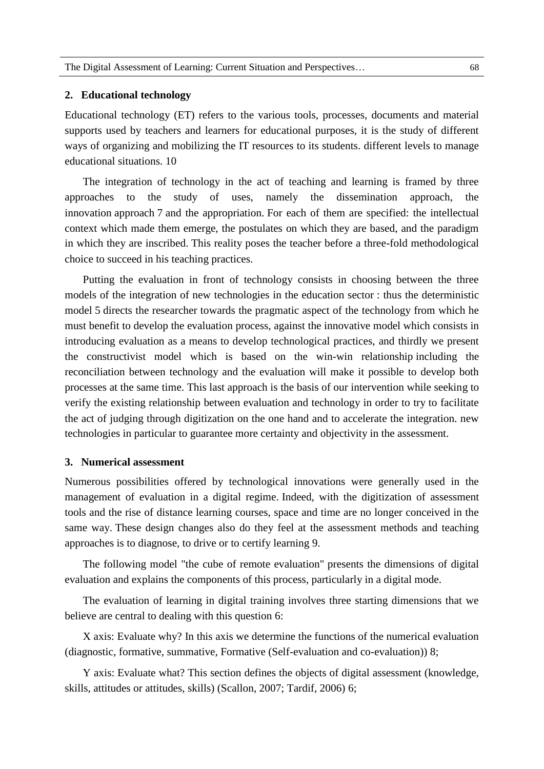#### **2. Educational technology**

Educational technology (ET) refers to the various tools, processes, documents and material supports used by teachers and learners for educational purposes, it is the study of different ways of organizing and mobilizing the IT resources to its students. different levels to manage educational situations. 10

The integration of technology in the act of teaching and learning is framed by three approaches to the study of uses, namely the dissemination approach, innovation approach 7 and the appropriation. For each of them are specified: the intellectual context which made them emerge, the postulates on which they are based, and the paradigm in which they are inscribed. This reality poses the teacher before a three-fold methodological choice to succeed in his teaching practices.

Putting the evaluation in front of technology consists in choosing between the three models of the integration of new technologies in the education sector : thus the deterministic model 5 directs the researcher towards the pragmatic aspect of the technology from which he must benefit to develop the evaluation process, against the innovative model which consists in introducing evaluation as a means to develop technological practices, and thirdly we present the constructivist model which is based on the win-win relationship including the reconciliation between technology and the evaluation will make it possible to develop both processes at the same time. This last approach is the basis of our intervention while seeking to verify the existing relationship between evaluation and technology in order to try to facilitate the act of judging through digitization on the one hand and to accelerate the integration. new technologies in particular to guarantee more certainty and objectivity in the assessment.

#### **3. Numerical assessment**

Numerous possibilities offered by technological innovations were generally used in the management of evaluation in a digital regime. Indeed, with the digitization of assessment tools and the rise of distance learning courses, space and time are no longer conceived in the same way. These design changes also do they feel at the assessment methods and teaching approaches is to diagnose, to drive or to certify learning 9.

The following model "the cube of remote evaluation'' presents the dimensions of digital evaluation and explains the components of this process, particularly in a digital mode.

The evaluation of learning in digital training involves three starting dimensions that we believe are central to dealing with this question 6:

X axis: Evaluate why? In this axis we determine the functions of the numerical evaluation (diagnostic, formative, summative, Formative (Self-evaluation and co-evaluation)) 8;

Y axis: Evaluate what? This section defines the objects of digital assessment (knowledge, skills, attitudes or attitudes, skills) (Scallon, 2007; Tardif, 2006) 6;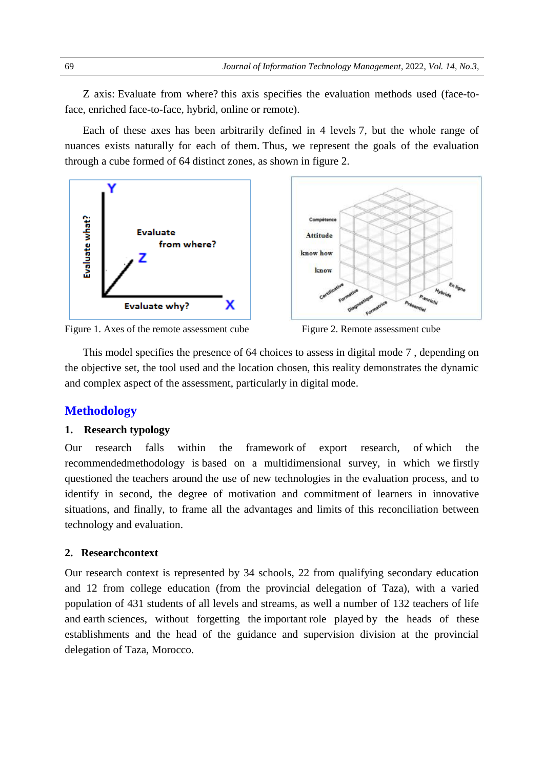Z axis: Evaluate from where? this axis specifies the evaluation methods used (face-toface, enriched face-to-face, hybrid, online or remote).

Each of these axes has been arbitrarily defined in 4 levels 7, but the whole range of nuances exists naturally for each of them. Thus, we represent the goals of the evaluation through a cube formed of 64 distinct zones, as shown in figure 2.



Figure 1. Axes of the remote assessment cube Figure 2. Remote assessment cube

This model specifies the presence of 64 choices to assess in digital mode 7 , depending on the objective set, the tool used and the location chosen, this reality demonstrates the dynamic and complex aspect of the assessment, particularly in digital mode.

# **Methodology**

#### **1. Research typology**

Our research falls within the framework of export research, of which the recommendedmethodology is based on a multidimensional survey, in which we firstly questioned the teachers around the use of new technologies in the evaluation process, and to identify in second, the degree of motivation and commitment of learners in innovative situations, and finally, to frame all the advantages and limits of this reconciliation between technology and evaluation.

#### **2. Researchcontext**

Our research context is represented by 34 schools, 22 from qualifying secondary education and 12 from college education (from the provincial delegation of Taza), with a varied population of 431 students of all levels and streams, as well a number of 132 teachers of life and earth sciences, without forgetting the important role played by the heads of these establishments and the head of the guidance and supervision division at the provincial delegation of Taza, Morocco.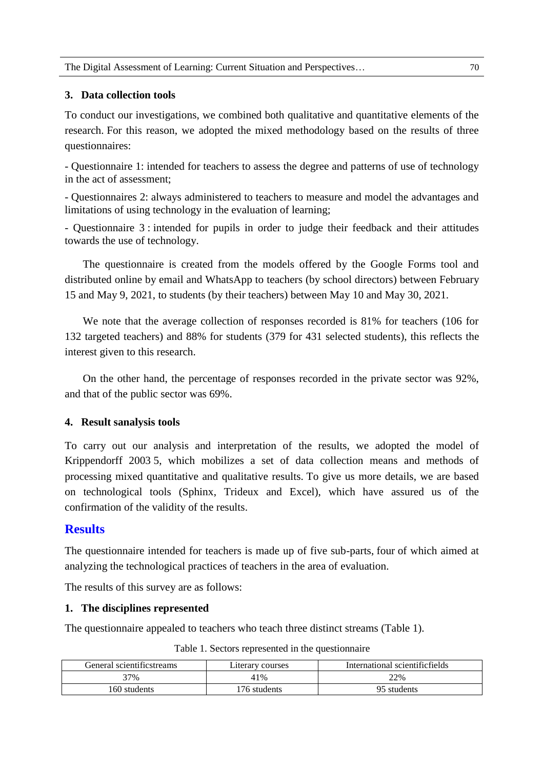# **3. Data collection tools**

To conduct our investigations, we combined both qualitative and quantitative elements of the research. For this reason, we adopted the mixed methodology based on the results of three questionnaires:

- Questionnaire 1: intended for teachers to assess the degree and patterns of use of technology in the act of assessment;

- Questionnaires 2: always administered to teachers to measure and model the advantages and limitations of using technology in the evaluation of learning;

- Questionnaire 3 : intended for pupils in order to judge their feedback and their attitudes towards the use of technology.

The questionnaire is created from the models offered by the Google Forms tool and distributed online by email and WhatsApp to teachers (by school directors) between February 15 and May 9, 2021, to students (by their teachers) between May 10 and May 30, 2021.

We note that the average collection of responses recorded is 81% for teachers (106 for 132 targeted teachers) and 88% for students (379 for 431 selected students), this reflects the interest given to this research.

On the other hand, the percentage of responses recorded in the private sector was 92%, and that of the public sector was 69%.

#### **4. Result sanalysis tools**

To carry out our analysis and interpretation of the results, we adopted the model of Krippendorff 2003 5, which mobilizes a set of data collection means and methods of processing mixed quantitative and qualitative results. To give us more details, we are based on technological tools (Sphinx, Trideux and Excel), which have assured us of the confirmation of the validity of the results.

# **Results**

The questionnaire intended for teachers is made up of five sub-parts, four of which aimed at analyzing the technological practices of teachers in the area of evaluation.

The results of this survey are as follows:

#### **1. The disciplines represented**

The questionnaire appealed to teachers who teach three distinct streams (Table 1).

| General scientificstreams | Literary courses | International scientificfields |
|---------------------------|------------------|--------------------------------|
| 37%                       | 41%              | 22%                            |
| 160 students              | 176 students     | 95 students                    |

#### Table 1. Sectors represented in the questionnaire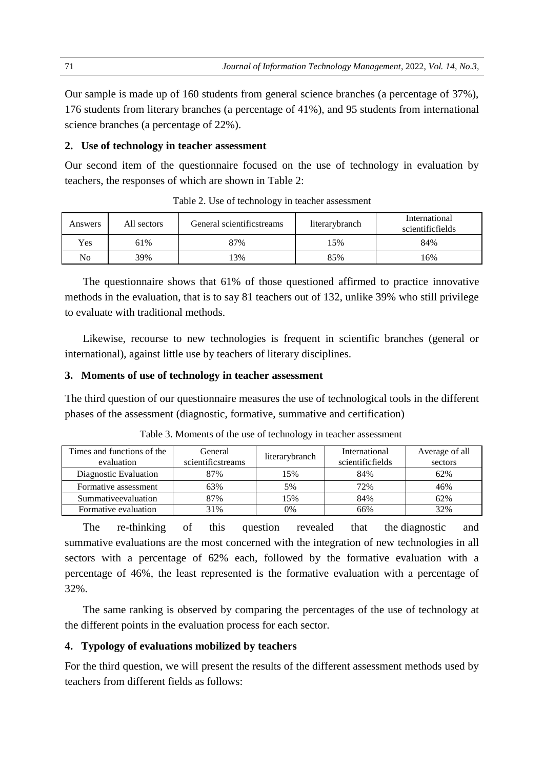Our sample is made up of 160 students from general science branches (a percentage of 37%), 176 students from literary branches (a percentage of 41%), and 95 students from international science branches (a percentage of 22%).

#### **2. Use of technology in teacher assessment**

Our second item of the questionnaire focused on the use of technology in evaluation by teachers, the responses of which are shown in Table 2:

| Answers | All sectors | General scientificstreams | literarybranch | International<br>scientificfields |
|---------|-------------|---------------------------|----------------|-----------------------------------|
| Yes.    | 61%         | 87%                       | 15%            | 84%                               |
| No      | 39%         | 3%                        | 85%            | 16%                               |

Table 2. Use of technology in teacher assessment

The questionnaire shows that 61% of those questioned affirmed to practice innovative methods in the evaluation, that is to say 81 teachers out of 132, unlike 39% who still privilege to evaluate with traditional methods.

Likewise, recourse to new technologies is frequent in scientific branches (general or international), against little use by teachers of literary disciplines.

# **3. Moments of use of technology in teacher assessment**

The third question of our questionnaire measures the use of technological tools in the different phases of the assessment (diagnostic, formative, summative and certification)

| Times and functions of the | General           |                | International    | Average of all |
|----------------------------|-------------------|----------------|------------------|----------------|
| evaluation                 | scientificstreams | literarybranch | scientificfields | sectors        |
| Diagnostic Evaluation      | 87%               | 15%            | 84%              | 62%            |
| Formative assessment       | 63%               | 5%             | 72%              | 46%            |
| Summativeevaluation        | 87%               | 15%            | 84%              | 62%            |
| Formative evaluation       | 31%               | 0%             | 66%              | 32%            |

Table 3. Moments of the use of technology in teacher assessment

The re-thinking of this question revealed that the diagnostic and summative evaluations are the most concerned with the integration of new technologies in all sectors with a percentage of 62% each, followed by the formative evaluation with a percentage of 46%, the least represented is the formative evaluation with a percentage of 32%.

The same ranking is observed by comparing the percentages of the use of technology at the different points in the evaluation process for each sector.

#### **4. Typology of evaluations mobilized by teachers**

For the third question, we will present the results of the different assessment methods used by teachers from different fields as follows: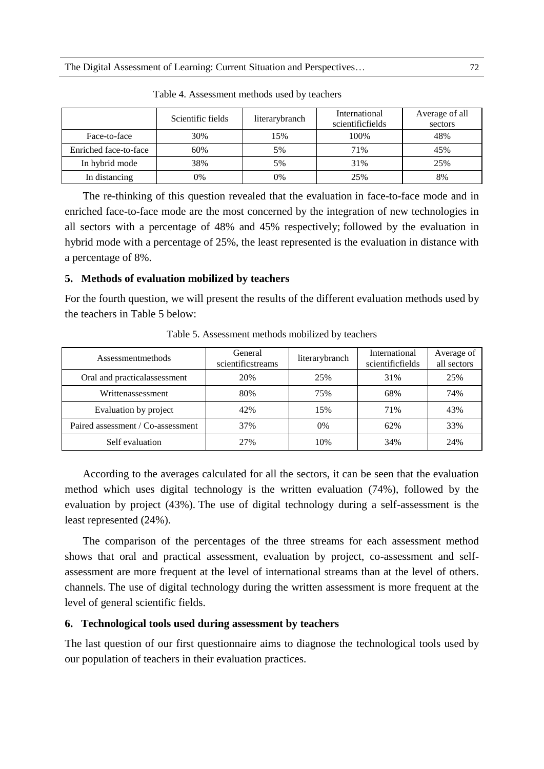|                       | Scientific fields | literarybranch | International<br>scientificfields | Average of all<br>sectors |
|-----------------------|-------------------|----------------|-----------------------------------|---------------------------|
| Face-to-face          | 30%               | 15%            | 100%                              | 48%                       |
| Enriched face-to-face | 60%               | 5%             | 71%                               | 45%                       |
| In hybrid mode        | 38%               | 5%             | 31%                               | 25%                       |
| In distancing         | 0%                | 0%             | 25%                               | 8%                        |

Table 4. Assessment methods used by teachers

The re-thinking of this question revealed that the evaluation in face-to-face mode and in enriched face-to-face mode are the most concerned by the integration of new technologies in all sectors with a percentage of 48% and 45% respectively; followed by the evaluation in hybrid mode with a percentage of 25%, the least represented is the evaluation in distance with a percentage of 8%.

#### **5. Methods of evaluation mobilized by teachers**

For the fourth question, we will present the results of the different evaluation methods used by the teachers in Table 5 below:

| Assessmentmethods                 | General<br>scientificstreams | literarybranch | International<br>scientificfields | Average of<br>all sectors |
|-----------------------------------|------------------------------|----------------|-----------------------------------|---------------------------|
| Oral and practicalassessment      | 20%                          | 25%            | 31%                               | 25%                       |
| Writtenassessment                 | 80%                          | 75%            | 68%                               | 74%                       |
| Evaluation by project             | 42%                          | 15%            | 71%                               | 43%                       |
| Paired assessment / Co-assessment | 37%                          | $0\%$          | 62%                               | 33%                       |
| Self evaluation                   | 27%                          | 10%            | 34%                               | 24%                       |

Table 5. Assessment methods mobilized by teachers

According to the averages calculated for all the sectors, it can be seen that the evaluation method which uses digital technology is the written evaluation (74%), followed by the evaluation by project (43%). The use of digital technology during a self-assessment is the least represented (24%).

The comparison of the percentages of the three streams for each assessment method shows that oral and practical assessment, evaluation by project, co-assessment and selfassessment are more frequent at the level of international streams than at the level of others. channels. The use of digital technology during the written assessment is more frequent at the level of general scientific fields.

#### **6. Technological tools used during assessment by teachers**

The last question of our first questionnaire aims to diagnose the technological tools used by our population of teachers in their evaluation practices.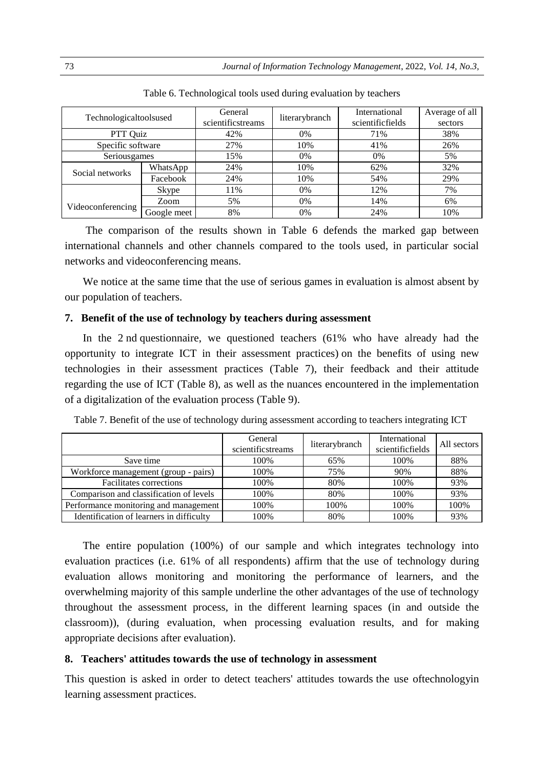| Technologicaltoolsused |             | General<br>scientificstreams | literarybranch | International<br>scientificfields | Average of all<br>sectors |
|------------------------|-------------|------------------------------|----------------|-----------------------------------|---------------------------|
| PTT Quiz               |             | 42%                          | 0%             | 71%                               | 38%                       |
| Specific software      |             | 27%                          | 10%            | 41%                               | 26%                       |
| Seriousgames           |             | 15%                          | 0%             | $0\%$                             | 5%                        |
| Social networks        | WhatsApp    | 24%                          | 10%            | 62%                               | 32%                       |
|                        | Facebook    | 24%                          | 10%            | 54%                               | 29%                       |
|                        | Skype       | 11%                          | 0%             | 12%                               | 7%                        |
|                        | Zoom        | 5%                           | 0%             | 14%                               | 6%                        |
| Videoconferencing      | Google meet | 8%                           | 0%             | 24%                               | 10%                       |

Table 6. Technological tools used during evaluation by teachers

The comparison of the results shown in Table 6 defends the marked gap between international channels and other channels compared to the tools used, in particular social networks and videoconferencing means.

We notice at the same time that the use of serious games in evaluation is almost absent by our population of teachers.

#### **7. Benefit of the use of technology by teachers during assessment**

In the 2 nd questionnaire, we questioned teachers (61% who have already had the opportunity to integrate ICT in their assessment practices) on the benefits of using new technologies in their assessment practices (Table 7), their feedback and their attitude regarding the use of ICT (Table 8), as well as the nuances encountered in the implementation of a digitalization of the evaluation process (Table 9).

| Table 7. Benefit of the use of technology during assessment according to teachers integrating ICT |
|---------------------------------------------------------------------------------------------------|
|---------------------------------------------------------------------------------------------------|

|                                          | General<br>scientificstreams | literarybranch | International<br>scientificfields | All sectors |
|------------------------------------------|------------------------------|----------------|-----------------------------------|-------------|
| Save time                                | 100%                         | 65%            | 100%                              | 88%         |
| Workforce management (group - pairs)     | 100%                         | 75%            | 90%                               | 88%         |
| <b>Facilitates corrections</b>           | 100%                         | 80%            | 100%                              | 93%         |
| Comparison and classification of levels  | 100%                         | 80%            | 100%                              | 93%         |
| Performance monitoring and management    | 100%                         | 100%           | 100%                              | 100%        |
| Identification of learners in difficulty | 100%                         | 80%            | 100%                              | 93%         |

The entire population (100%) of our sample and which integrates technology into evaluation practices (i.e. 61% of all respondents) affirm that the use of technology during evaluation allows monitoring and monitoring the performance of learners, and the overwhelming majority of this sample underline the other advantages of the use of technology throughout the assessment process, in the different learning spaces (in and outside the classroom)), (during evaluation, when processing evaluation results, and for making appropriate decisions after evaluation).

#### **8. Teachers' attitudes towards the use of technology in assessment**

This question is asked in order to detect teachers' attitudes towards the use oftechnologyin learning assessment practices.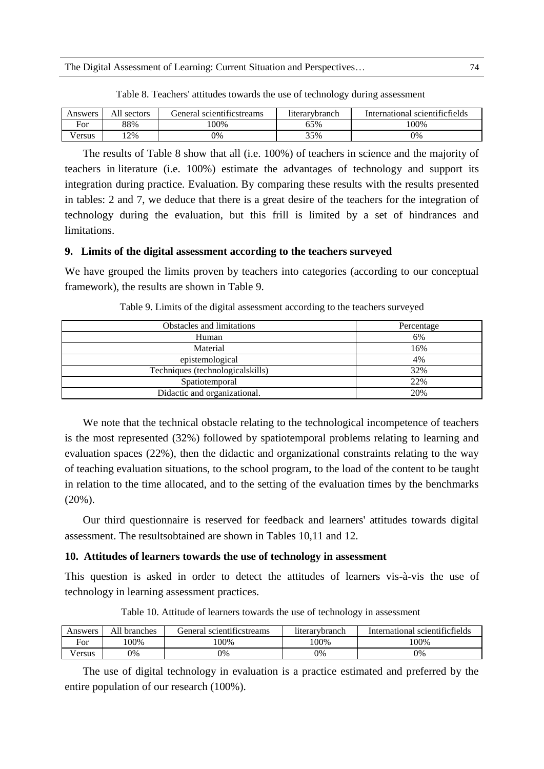| Answers               | All sectors | General scientificstreams | literarybranch | International scientificfields |
|-----------------------|-------------|---------------------------|----------------|--------------------------------|
| $\blacksquare$<br>⊦or | 88%         | $00\%$                    | 65%            | 100%                           |
| /ersus                | 2%          | 0%                        | 35%            | 0%                             |

Table 8. Teachers' attitudes towards the use of technology during assessment

The results of Table 8 show that all (i.e. 100%) of teachers in science and the majority of teachers in literature (i.e. 100%) estimate the advantages of technology and support its integration during practice. Evaluation. By comparing these results with the results presented in tables: 2 and 7, we deduce that there is a great desire of the teachers for the integration of technology during the evaluation, but this frill is limited by a set of hindrances and limitations.

#### **9. Limits of the digital assessment according to the teachers surveyed**

We have grouped the limits proven by teachers into categories (according to our conceptual framework), the results are shown in Table 9.

| <b>Obstacles and limitations</b> | Percentage |
|----------------------------------|------------|
| Human                            | 6%         |
| Material                         | 16%        |
| epistemological                  | 4%         |
| Techniques (technologicalskills) | 32%        |
| Spatiotemporal                   | 22%        |
| Didactic and organizational.     | 20%        |

Table 9. Limits of the digital assessment according to the teachers surveyed

We note that the technical obstacle relating to the technological incompetence of teachers is the most represented (32%) followed by spatiotemporal problems relating to learning and evaluation spaces (22%), then the didactic and organizational constraints relating to the way of teaching evaluation situations, to the school program, to the load of the content to be taught in relation to the time allocated, and to the setting of the evaluation times by the benchmarks (20%).

Our third questionnaire is reserved for feedback and learners' attitudes towards digital assessment. The resultsobtained are shown in Tables 10,11 and 12.

#### **10. Attitudes of learners towards the use of technology in assessment**

This question is asked in order to detect the attitudes of learners vis-à-vis the use of technology in learning assessment practices.

| Answers                         | All $\lceil$<br><b>branches</b> | General scientificstreams | <b>literarybranch</b> | International scientificfields |
|---------------------------------|---------------------------------|---------------------------|-----------------------|--------------------------------|
| $\overline{\phantom{a}}$<br>For | 100%                            | 00%                       | 100%                  | 100%                           |
| V ersus                         | 9%                              | 0%                        | 0%                    | 0%                             |

Table 10. Attitude of learners towards the use of technology in assessment

The use of digital technology in evaluation is a practice estimated and preferred by the entire population of our research (100%).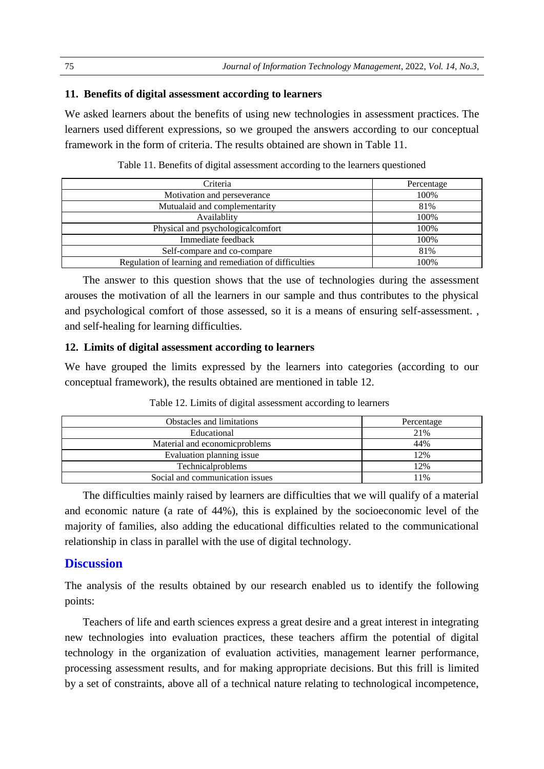#### **11. Benefits of digital assessment according to learners**

We asked learners about the benefits of using new technologies in assessment practices. The learners used different expressions, so we grouped the answers according to our conceptual framework in the form of criteria. The results obtained are shown in Table 11.

| Criteria                                               | Percentage |
|--------------------------------------------------------|------------|
| Motivation and perseverance                            | 100%       |
| Mutualaid and complementarity                          | 81%        |
| Availablity                                            | 100%       |
| Physical and psychological comfort                     | 100%       |
| Immediate feedback                                     | 100%       |
| Self-compare and co-compare                            | 81%        |
| Regulation of learning and remediation of difficulties | 100%       |

Table 11. Benefits of digital assessment according to the learners questioned

The answer to this question shows that the use of technologies during the assessment arouses the motivation of all the learners in our sample and thus contributes to the physical and psychological comfort of those assessed, so it is a means of ensuring self-assessment. , and self-healing for learning difficulties.

#### **12. Limits of digital assessment according to learners**

We have grouped the limits expressed by the learners into categories (according to our conceptual framework), the results obtained are mentioned in table 12.

| <b>Obstacles and limitations</b> | Percentage |
|----------------------------------|------------|
| Educational                      | 21%        |
| Material and economic problems   | 44%        |
| Evaluation planning issue        | 12%        |
| Technicalproblems                | 12%        |
| Social and communication issues  | 11%        |

Table 12. Limits of digital assessment according to learners

The difficulties mainly raised by learners are difficulties that we will qualify of a material and economic nature (a rate of 44%), this is explained by the socioeconomic level of the majority of families, also adding the educational difficulties related to the communicational relationship in class in parallel with the use of digital technology.

### **Discussion**

The analysis of the results obtained by our research enabled us to identify the following points:

Teachers of life and earth sciences express a great desire and a great interest in integrating new technologies into evaluation practices, these teachers affirm the potential of digital technology in the organization of evaluation activities, management learner performance, processing assessment results, and for making appropriate decisions. But this frill is limited by a set of constraints, above all of a technical nature relating to technological incompetence,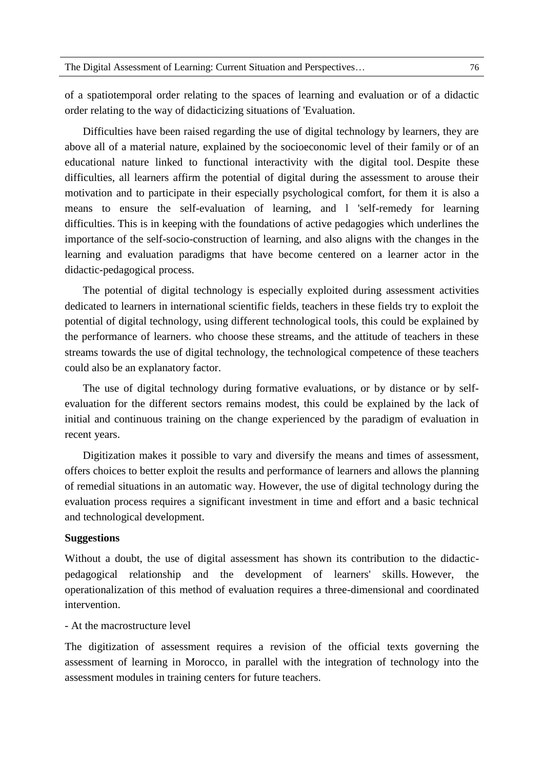of a spatiotemporal order relating to the spaces of learning and evaluation or of a didactic order relating to the way of didacticizing situations of 'Evaluation.

Difficulties have been raised regarding the use of digital technology by learners, they are above all of a material nature, explained by the socioeconomic level of their family or of an educational nature linked to functional interactivity with the digital tool. Despite these difficulties, all learners affirm the potential of digital during the assessment to arouse their motivation and to participate in their especially psychological comfort, for them it is also a means to ensure the self-evaluation of learning, and l 'self-remedy for learning difficulties. This is in keeping with the foundations of active pedagogies which underlines the importance of the self-socio-construction of learning, and also aligns with the changes in the learning and evaluation paradigms that have become centered on a learner actor in the didactic-pedagogical process.

The potential of digital technology is especially exploited during assessment activities dedicated to learners in international scientific fields, teachers in these fields try to exploit the potential of digital technology, using different technological tools, this could be explained by the performance of learners. who choose these streams, and the attitude of teachers in these streams towards the use of digital technology, the technological competence of these teachers could also be an explanatory factor.

The use of digital technology during formative evaluations, or by distance or by selfevaluation for the different sectors remains modest, this could be explained by the lack of initial and continuous training on the change experienced by the paradigm of evaluation in recent years.

Digitization makes it possible to vary and diversify the means and times of assessment, offers choices to better exploit the results and performance of learners and allows the planning of remedial situations in an automatic way. However, the use of digital technology during the evaluation process requires a significant investment in time and effort and a basic technical and technological development.

#### **Suggestions**

Without a doubt, the use of digital assessment has shown its contribution to the didacticpedagogical relationship and the development of learners' skills. However, the operationalization of this method of evaluation requires a three-dimensional and coordinated intervention.

#### - At the macrostructure level

The digitization of assessment requires a revision of the official texts governing the assessment of learning in Morocco, in parallel with the integration of technology into the assessment modules in training centers for future teachers.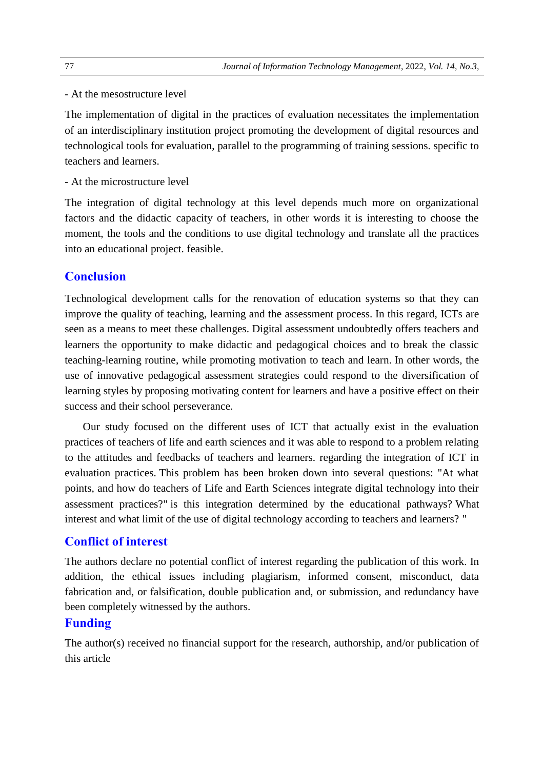#### - At the mesostructure level

The implementation of digital in the practices of evaluation necessitates the implementation of an interdisciplinary institution project promoting the development of digital resources and technological tools for evaluation, parallel to the programming of training sessions. specific to teachers and learners.

- At the microstructure level

The integration of digital technology at this level depends much more on organizational factors and the didactic capacity of teachers, in other words it is interesting to choose the moment, the tools and the conditions to use digital technology and translate all the practices into an educational project. feasible.

# **Conclusion**

Technological development calls for the renovation of education systems so that they can improve the quality of teaching, learning and the assessment process. In this regard, ICTs are seen as a means to meet these challenges. Digital assessment undoubtedly offers teachers and learners the opportunity to make didactic and pedagogical choices and to break the classic teaching-learning routine, while promoting motivation to teach and learn. In other words, the use of innovative pedagogical assessment strategies could respond to the diversification of learning styles by proposing motivating content for learners and have a positive effect on their success and their school perseverance.

Our study focused on the different uses of ICT that actually exist in the evaluation practices of teachers of life and earth sciences and it was able to respond to a problem relating to the attitudes and feedbacks of teachers and learners. regarding the integration of ICT in evaluation practices. This problem has been broken down into several questions: "At what points, and how do teachers of Life and Earth Sciences integrate digital technology into their assessment practices?" is this integration determined by the educational pathways? What interest and what limit of the use of digital technology according to teachers and learners? "

# **Conflict of interest**

The authors declare no potential conflict of interest regarding the publication of this work. In addition, the ethical issues including plagiarism, informed consent, misconduct, data fabrication and, or falsification, double publication and, or submission, and redundancy have been completely witnessed by the authors.

# **Funding**

The author(s) received no financial support for the research, authorship, and/or publication of this article